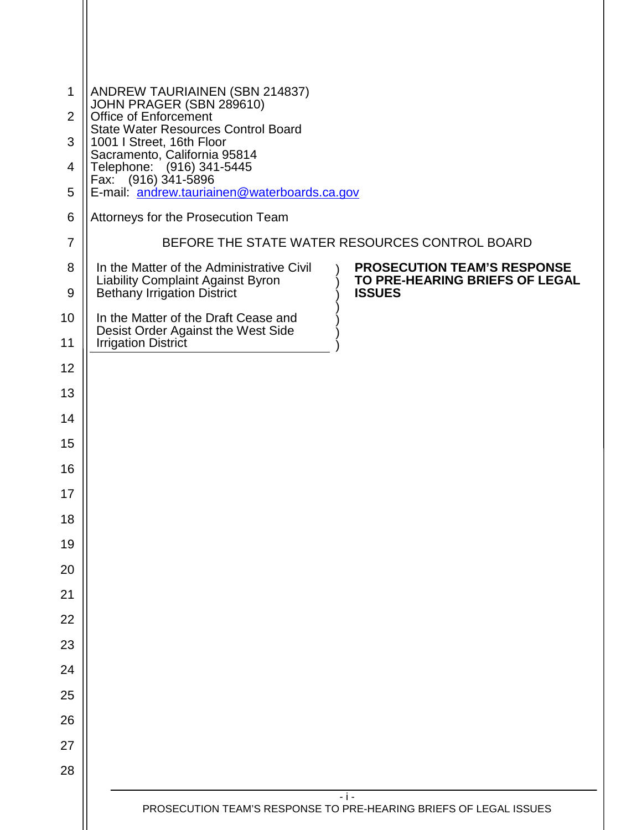| $\mathbf{1}$   |                                                                                                                                                                                                        |
|----------------|--------------------------------------------------------------------------------------------------------------------------------------------------------------------------------------------------------|
| $\overline{2}$ | ANDREW TAURIAINEN (SBN 214837)<br>JOHN PRAGER (SBN 289610)<br>Office of Enforcement                                                                                                                    |
| 3              | <b>State Water Resources Control Board</b><br>1001   Street, 16th Floor                                                                                                                                |
| 4              | Sacramento, California 95814<br>Telephone: (916) 341-5445<br>Eax: (916) 341-5896                                                                                                                       |
| 5              | E-mail: andrew.tauriainen@waterboards.ca.gov                                                                                                                                                           |
| 6              | Attorneys for the Prosecution Team                                                                                                                                                                     |
| $\overline{7}$ | BEFORE THE STATE WATER RESOURCES CONTROL BOARD                                                                                                                                                         |
| 8<br>9         | <b>PROSECUTION TEAM'S RESPONSE</b><br>In the Matter of the Administrative Civil<br>TO PRE-HEARING BRIEFS OF LEGAL<br>Liability Complaint Against Byron<br>Bethany Irrigation District<br><b>ISSUES</b> |
| 10             | In the Matter of the Draft Cease and                                                                                                                                                                   |
| 11             | Desist Order Against the West Side<br><b>Irrigation District</b>                                                                                                                                       |
| 12             |                                                                                                                                                                                                        |
| 13             |                                                                                                                                                                                                        |
| 14             |                                                                                                                                                                                                        |
| 15             |                                                                                                                                                                                                        |
| 16             |                                                                                                                                                                                                        |
| 17             |                                                                                                                                                                                                        |
| 18             |                                                                                                                                                                                                        |
| 19             |                                                                                                                                                                                                        |
| 20             |                                                                                                                                                                                                        |
| 21             |                                                                                                                                                                                                        |
| 22             |                                                                                                                                                                                                        |
| 23             |                                                                                                                                                                                                        |
| 24             |                                                                                                                                                                                                        |
| 25             |                                                                                                                                                                                                        |
| 26             |                                                                                                                                                                                                        |
| 27             |                                                                                                                                                                                                        |
| 28             |                                                                                                                                                                                                        |
|                | $-1-$<br>PROSECUTION TEAM'S RESPONSE TO PRE-HEARING BRIEFS OF LEGAL ISSUES                                                                                                                             |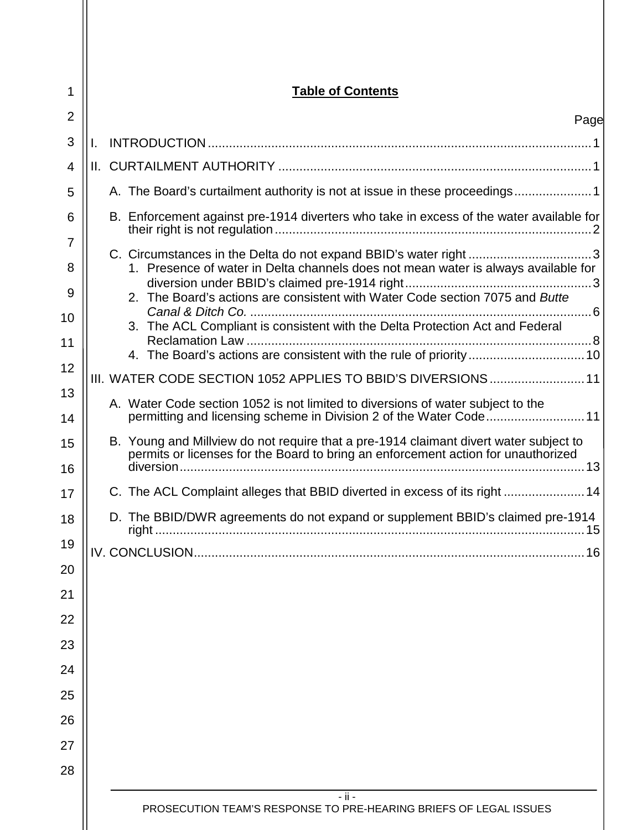| 1        | <b>Table of Contents</b>                                                                                                                                                   |  |
|----------|----------------------------------------------------------------------------------------------------------------------------------------------------------------------------|--|
| 2        | Page                                                                                                                                                                       |  |
| 3        |                                                                                                                                                                            |  |
| 4        |                                                                                                                                                                            |  |
| 5        | A. The Board's curtailment authority is not at issue in these proceedings                                                                                                  |  |
| 6        | B. Enforcement against pre-1914 diverters who take in excess of the water available for                                                                                    |  |
| 7<br>8   | 1. Presence of water in Delta channels does not mean water is always available for                                                                                         |  |
| 9        | 2. The Board's actions are consistent with Water Code section 7075 and Butte                                                                                               |  |
| 10       | 3. The ACL Compliant is consistent with the Delta Protection Act and Federal                                                                                               |  |
| 11<br>12 | 4. The Board's actions are consistent with the rule of priority  10                                                                                                        |  |
| 13       | III. WATER CODE SECTION 1052 APPLIES TO BBID'S DIVERSIONS 11                                                                                                               |  |
| 14       | A. Water Code section 1052 is not limited to diversions of water subject to the                                                                                            |  |
| 15<br>16 | B. Young and Millview do not require that a pre-1914 claimant divert water subject to<br>permits or licenses for the Board to bring an enforcement action for unauthorized |  |
| 17       | C. The ACL Complaint alleges that BBID diverted in excess of its right  14                                                                                                 |  |
| 18       | D. The BBID/DWR agreements do not expand or supplement BBID's claimed pre-1914                                                                                             |  |
| 19       |                                                                                                                                                                            |  |
| 20       |                                                                                                                                                                            |  |
| 21       |                                                                                                                                                                            |  |
| 22       |                                                                                                                                                                            |  |
| 23       |                                                                                                                                                                            |  |
| 24       |                                                                                                                                                                            |  |
| 25       |                                                                                                                                                                            |  |
| 26       |                                                                                                                                                                            |  |
| 27<br>28 |                                                                                                                                                                            |  |
|          | $-$ ii $-$<br>PROSECUTION TEAM'S RESPONSE TO PRE-HEARING BRIEFS OF LEGAL ISSUES                                                                                            |  |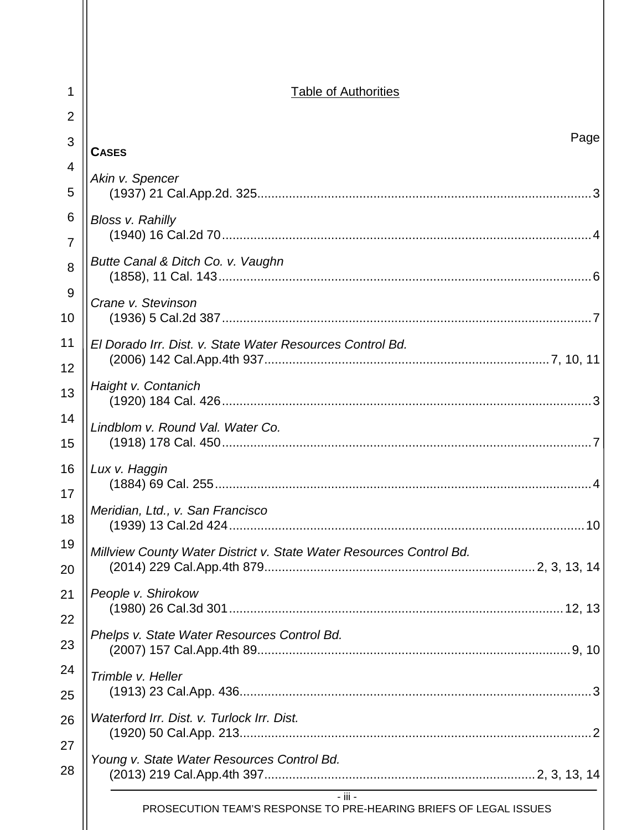| 1                   | <b>Table of Authorities</b>                                                      |  |
|---------------------|----------------------------------------------------------------------------------|--|
| $\overline{2}$      |                                                                                  |  |
| 3                   | Page<br><b>CASES</b>                                                             |  |
| 4                   | Akin v. Spencer                                                                  |  |
| 5                   |                                                                                  |  |
| 6<br>$\overline{7}$ | Bloss v. Rahilly                                                                 |  |
| 8                   | Butte Canal & Ditch Co. v. Vaughn                                                |  |
| 9<br>10             | Crane v. Stevinson                                                               |  |
| 11<br>12            | El Dorado Irr. Dist. v. State Water Resources Control Bd.                        |  |
| 13                  | Haight v. Contanich                                                              |  |
| 14                  | Lindblom v. Round Val. Water Co.                                                 |  |
| 15                  |                                                                                  |  |
| 16<br>17            | Lux v. Haggin                                                                    |  |
| 18                  | Meridian, Ltd., v. San Francisco                                                 |  |
| 19<br>20            | Millview County Water District v. State Water Resources Control Bd.              |  |
| 21                  | People v. Shirokow                                                               |  |
| 22<br>23            | Phelps v. State Water Resources Control Bd.                                      |  |
| 24                  | Trimble v. Heller                                                                |  |
| 25                  |                                                                                  |  |
| 26                  | Waterford Irr. Dist. v. Turlock Irr. Dist.                                       |  |
| 27<br>28            | Young v. State Water Resources Control Bd.                                       |  |
|                     | $-$ iii $-$<br>PROSECUTION TEAM'S RESPONSE TO PRE-HEARING BRIEFS OF LEGAL ISSUES |  |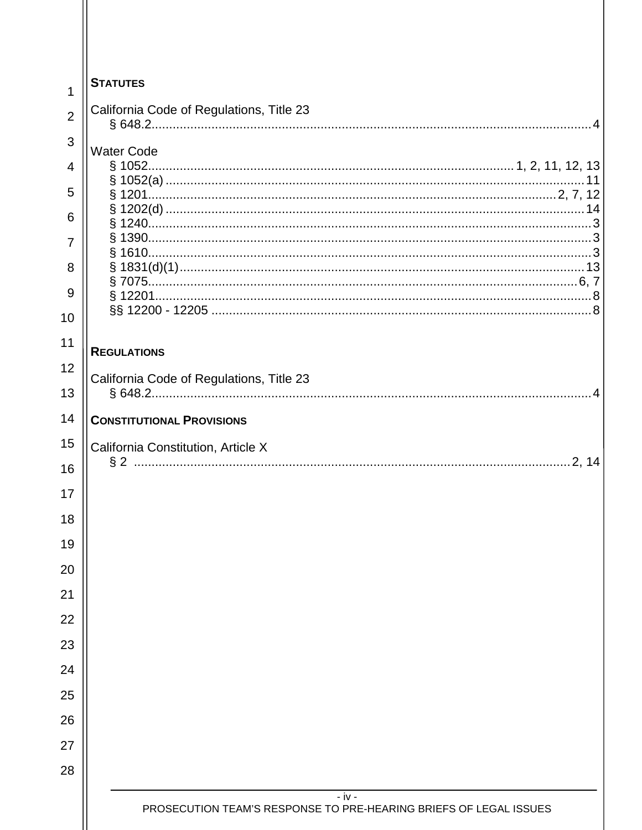| 1              | <b>STATUTES</b>                                                             |
|----------------|-----------------------------------------------------------------------------|
| $\overline{2}$ | California Code of Regulations, Title 23                                    |
| 3              |                                                                             |
| 4              | <b>Water Code</b>                                                           |
| 5              |                                                                             |
| 6              |                                                                             |
| 7              |                                                                             |
| 8              |                                                                             |
| 9              |                                                                             |
| 10             |                                                                             |
| 11             | <b>REGULATIONS</b>                                                          |
| 12             | California Code of Regulations, Title 23                                    |
| 13             |                                                                             |
| 14<br>15       | <b>CONSTITUTIONAL PROVISIONS</b>                                            |
| 16             | California Constitution, Article X                                          |
| 17             |                                                                             |
| 18             |                                                                             |
| 19             |                                                                             |
| 20             |                                                                             |
| 21             |                                                                             |
| 22             |                                                                             |
| 23             |                                                                             |
| 24             |                                                                             |
| 25             |                                                                             |
| 26             |                                                                             |
| 27             |                                                                             |
| 28             |                                                                             |
|                | - iv -<br>PROSECUTION TEAM'S RESPONSE TO PRE-HEARING BRIEFS OF LEGAL ISSUES |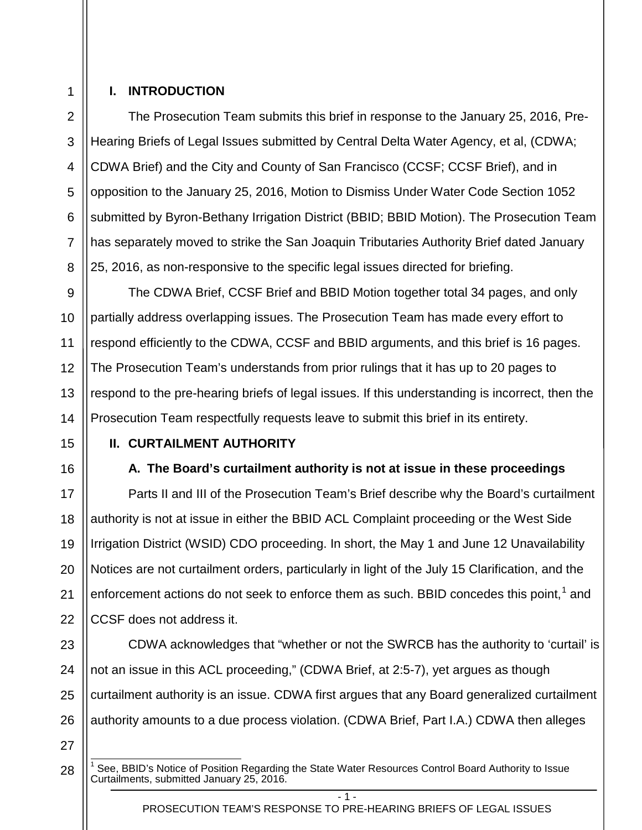# 1 2

3

4

5

6

7

8

### <span id="page-4-0"></span>**I. INTRODUCTION**

The Prosecution Team submits this brief in response to the January 25, 2016, Pre-Hearing Briefs of Legal Issues submitted by Central Delta Water Agency, et al, (CDWA; CDWA Brief) and the City and County of San Francisco (CCSF; CCSF Brief), and in opposition to the January 25, 2016, Motion to Dismiss Under Water Code Section 1052 submitted by Byron-Bethany Irrigation District (BBID; BBID Motion). The Prosecution Team has separately moved to strike the San Joaquin Tributaries Authority Brief dated January 25, 2016, as non-responsive to the specific legal issues directed for briefing.

9 10 11 12 13 14 The CDWA Brief, CCSF Brief and BBID Motion together total 34 pages, and only partially address overlapping issues. The Prosecution Team has made every effort to respond efficiently to the CDWA, CCSF and BBID arguments, and this brief is 16 pages. The Prosecution Team's understands from prior rulings that it has up to 20 pages to respond to the pre-hearing briefs of legal issues. If this understanding is incorrect, then the Prosecution Team respectfully requests leave to submit this brief in its entirety.

15

16

17

21

### <span id="page-4-2"></span><span id="page-4-1"></span>**II. CURTAILMENT AUTHORITY**

# **A. The Board's curtailment authority is not at issue in these proceedings**

18 19 20 22 Parts II and III of the Prosecution Team's Brief describe why the Board's curtailment authority is not at issue in either the BBID ACL Complaint proceeding or the West Side Irrigation District (WSID) CDO proceeding. In short, the May 1 and June 12 Unavailability Notices are not curtailment orders, particularly in light of the July 15 Clarification, and the enforcement actions do not seek to enforce them as such. BBID concedes this point,<sup>[1](#page-4-3)</sup> and CCSF does not address it.

23 24 25 26 CDWA acknowledges that "whether or not the SWRCB has the authority to 'curtail' is not an issue in this ACL proceeding," (CDWA Brief, at 2:5-7), yet argues as though curtailment authority is an issue. CDWA first argues that any Board generalized curtailment authority amounts to a due process violation. (CDWA Brief, Part I.A.) CDWA then alleges

27

<span id="page-4-3"></span>28

See, BBID's Notice of Position Regarding the State Water Resources Control Board Authority to Issue Curtailments, submitted January 25, 2016.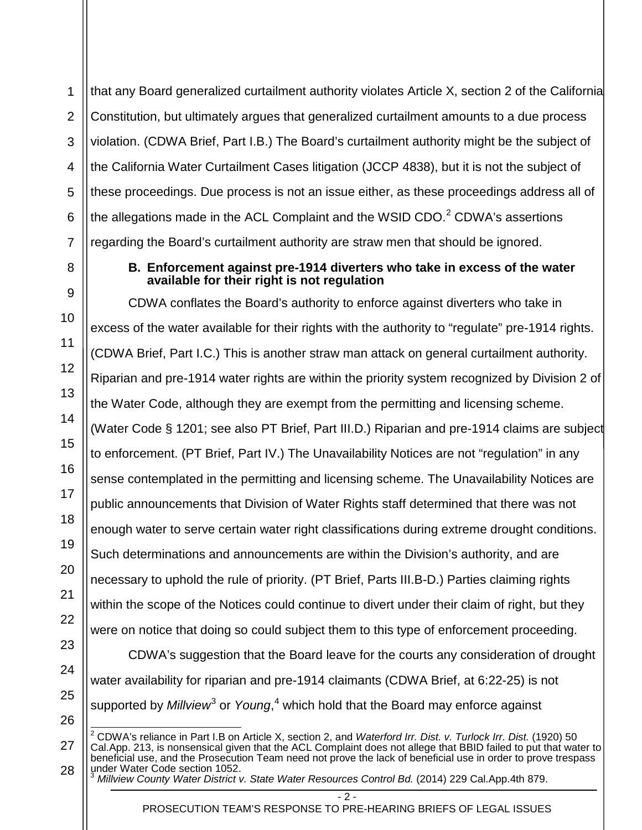1 2 3 4 5 6 7 that any Board generalized curtailment authority violates Article X, section 2 of the California Constitution, but ultimately argues that generalized curtailment amounts to a due process violation. (CDWA Brief, Part I.B.) The Board's curtailment authority might be the subject of the California Water Curtailment Cases litigation (JCCP 4838), but it is not the subject of these proceedings. Due process is not an issue either, as these proceedings address all of the allegations made in the ACL Complaint and the WSID CDO. $<sup>2</sup>$  $<sup>2</sup>$  $<sup>2</sup>$  CDWA's assertions</sup> regarding the Board's curtailment authority are straw men that should be ignored.

### **B. Enforcement against pre-1914 diverters who take in excess of the water available for their right is not regulation**

<span id="page-5-0"></span>8

9

10

11

12

13

14

15

16

17

18

19

20

21

22

23

24

25

26

<span id="page-5-1"></span>27

<span id="page-5-2"></span>28

CDWA conflates the Board's authority to enforce against diverters who take in excess of the water available for their rights with the authority to "regulate" pre-1914 rights. (CDWA Brief, Part I.C.) This is another straw man attack on general curtailment authority. Riparian and pre-1914 water rights are within the priority system recognized by Division 2 of the Water Code, although they are exempt from the permitting and licensing scheme. (Water Code § 1201; see also PT Brief, Part III.D.) Riparian and pre-1914 claims are subject to enforcement. (PT Brief, Part IV.) The Unavailability Notices are not "regulation" in any sense contemplated in the permitting and licensing scheme. The Unavailability Notices are public announcements that Division of Water Rights staff determined that there was not enough water to serve certain water right classifications during extreme drought conditions. Such determinations and announcements are within the Division's authority, and are necessary to uphold the rule of priority. (PT Brief, Parts III.B-D.) Parties claiming rights within the scope of the Notices could continue to divert under their claim of right, but they were on notice that doing so could subject them to this type of enforcement proceeding.

CDWA's suggestion that the Board leave for the courts any consideration of drought water availability for riparian and pre-1914 claimants (CDWA Brief, at 6:22-25) is not supported by *Millview*<sup>[3](#page-5-2)</sup> or *Young*,<sup>[4](#page-5-2)</sup> which hold that the Board may enforce against

<sup>3</sup> *Millview County Water District v. State Water Resources Control Bd.* (2014) 229 Cal.App.4th 879.

 $-2 -$ 

PROSECUTION TEAM'S RESPONSE TO PRE-HEARING BRIEFS OF LEGAL ISSUES

<sup>2</sup> CDWA's reliance in Part I.B on Article X, section 2, and *Waterford Irr. Dist. v. Turlock Irr. Dist.* (1920) 50 Cal.App. 213, is nonsensical given that the ACL Complaint does not allege that BBID failed to put that water to beneficial use, and the Prosecution Team need not prove the lack of beneficial use in order to prove trespass under Water Code section 1052.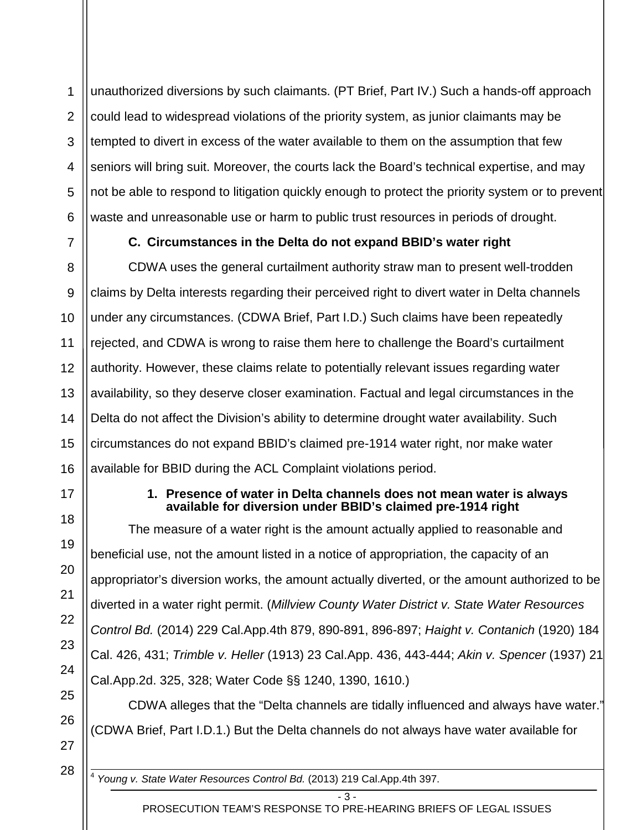1 2 3 4 5 6 unauthorized diversions by such claimants. (PT Brief, Part IV.) Such a hands-off approach could lead to widespread violations of the priority system, as junior claimants may be tempted to divert in excess of the water available to them on the assumption that few seniors will bring suit. Moreover, the courts lack the Board's technical expertise, and may not be able to respond to litigation quickly enough to protect the priority system or to prevent waste and unreasonable use or harm to public trust resources in periods of drought.

<span id="page-6-0"></span>

7

# **C. Circumstances in the Delta do not expand BBID's water right**

8 9 10 11 12 13 14 15 16 CDWA uses the general curtailment authority straw man to present well-trodden claims by Delta interests regarding their perceived right to divert water in Delta channels under any circumstances. (CDWA Brief, Part I.D.) Such claims have been repeatedly rejected, and CDWA is wrong to raise them here to challenge the Board's curtailment authority. However, these claims relate to potentially relevant issues regarding water availability, so they deserve closer examination. Factual and legal circumstances in the Delta do not affect the Division's ability to determine drought water availability. Such circumstances do not expand BBID's claimed pre-1914 water right, nor make water available for BBID during the ACL Complaint violations period.

<span id="page-6-1"></span>17

18

19

20

21

22

23

24

25

26

27

### **1. Presence of water in Delta channels does not mean water is always available for diversion under BBID's claimed pre-1914 right**

The measure of a water right is the amount actually applied to reasonable and beneficial use, not the amount listed in a notice of appropriation, the capacity of an appropriator's diversion works, the amount actually diverted, or the amount authorized to be diverted in a water right permit. (*Millview County Water District v. State Water Resources Control Bd.* (2014) 229 Cal.App.4th 879, 890-891, 896-897; *Haight v. Contanich* (1920) 184 Cal. 426, 431; *Trimble v. Heller* (1913) 23 Cal.App. 436, 443-444; *Akin v. Spencer* (1937) 21 Cal.App.2d. 325, 328; Water Code §§ 1240, 1390, 1610.)

CDWA alleges that the "Delta channels are tidally influenced and always have water." (CDWA Brief, Part I.D.1.) But the Delta channels do not always have water available for

28

<sup>4</sup> *Young v. State Water Resources Control Bd.* (2013) 219 Cal.App.4th 397.

 $- 3 -$ PROSECUTION TEAM'S RESPONSE TO PRE-HEARING BRIEFS OF LEGAL ISSUES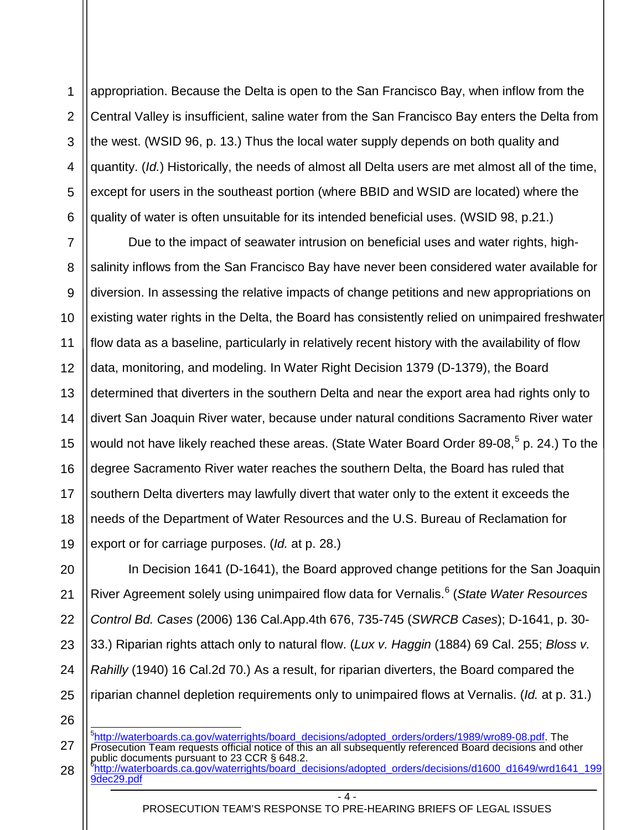1 2 3 4 5 6 appropriation. Because the Delta is open to the San Francisco Bay, when inflow from the Central Valley is insufficient, saline water from the San Francisco Bay enters the Delta from the west. (WSID 96, p. 13.) Thus the local water supply depends on both quality and quantity. (*Id.*) Historically, the needs of almost all Delta users are met almost all of the time, except for users in the southeast portion (where BBID and WSID are located) where the quality of water is often unsuitable for its intended beneficial uses. (WSID 98, p.21.)

7 8 9 10 11 12 13 14 15 16 17 18 19 Due to the impact of seawater intrusion on beneficial uses and water rights, highsalinity inflows from the San Francisco Bay have never been considered water available for diversion. In assessing the relative impacts of change petitions and new appropriations on existing water rights in the Delta, the Board has consistently relied on unimpaired freshwater flow data as a baseline, particularly in relatively recent history with the availability of flow data, monitoring, and modeling. In Water Right Decision 1379 (D-1379), the Board determined that diverters in the southern Delta and near the export area had rights only to divert San Joaquin River water, because under natural conditions Sacramento River water would not have likely reached these areas. (State Water Board Order 89-08,<sup>[5](#page-7-0)</sup> p. 24.) To the degree Sacramento River water reaches the southern Delta, the Board has ruled that southern Delta diverters may lawfully divert that water only to the extent it exceeds the needs of the Department of Water Resources and the U.S. Bureau of Reclamation for export or for carriage purposes. (*Id.* at p. 28.)

20 21 22 23 24 25 In Decision 1641 (D-1641), the Board approved change petitions for the San Joaquin River Agreement solely using unimpaired flow data for Vernalis.[6](#page-7-1) (*State Water Resources Control Bd. Cases* (2006) 136 Cal.App.4th 676, 735-745 (*SWRCB Cases*); D-1641, p. 30- 33.) Riparian rights attach only to natural flow. (*Lux v. Haggin* (1884) 69 Cal. 255; *Bloss v. Rahilly* (1940) 16 Cal.2d 70.) As a result, for riparian diverters, the Board compared the riparian channel depletion requirements only to unimpaired flows at Vernalis. (*Id.* at p. 31.)

<span id="page-7-1"></span><span id="page-7-0"></span>27 28 5 [http://waterboards.ca.gov/waterrights/board\\_decisions/adopted\\_orders/orders/1989/wro89-08.pdf.](http://waterboards.ca.gov/waterrights/board_decisions/adopted_orders/orders/1989/wro89-08.pdf) The Prosecution Team requests official notice of this an all subsequently referenced Board decisions and other public documents pursuant to 23 CCR § 648.2.<br><sup>6</sup>[http://waterboards.ca.gov/waterrights/board\\_decisions/adopted\\_orders/decisions/d1600\\_d1649/wrd1641\\_199](http://waterboards.ca.gov/waterrights/board_decisions/adopted_orders/decisions/d1600_d1649/wrd1641_1999dec29.pdf) [9dec29.pdf](http://waterboards.ca.gov/waterrights/board_decisions/adopted_orders/decisions/d1600_d1649/wrd1641_1999dec29.pdf)

26

 $\overline{A}$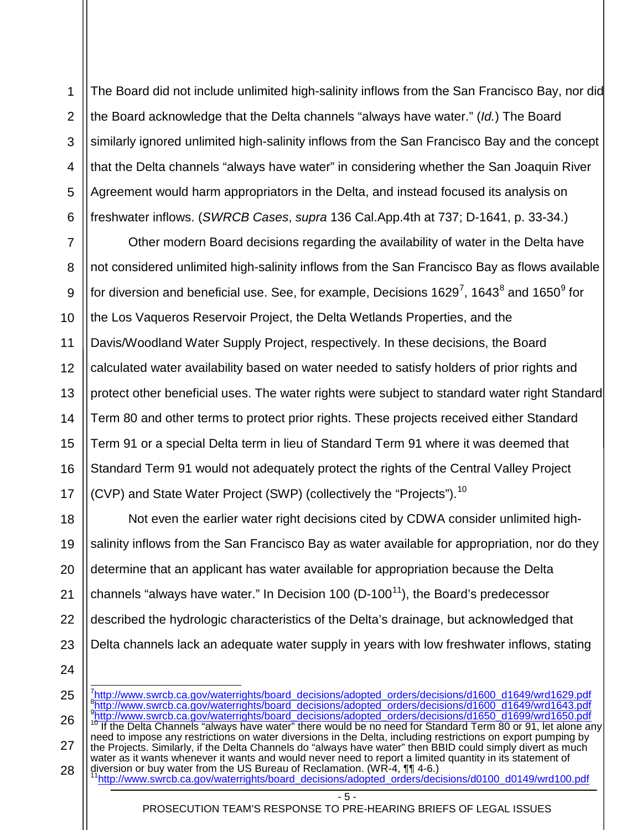1 2 3 4 5 6 The Board did not include unlimited high-salinity inflows from the San Francisco Bay, nor did the Board acknowledge that the Delta channels "always have water." (*Id.*) The Board similarly ignored unlimited high-salinity inflows from the San Francisco Bay and the concept that the Delta channels "always have water" in considering whether the San Joaquin River Agreement would harm appropriators in the Delta, and instead focused its analysis on freshwater inflows. (*SWRCB Cases*, *supra* 136 Cal.App.4th at 737; D-1641, p. 33-34.)

7 8 9 10 11 12 13 14 15 16 17 Other modern Board decisions regarding the availability of water in the Delta have not considered unlimited high-salinity inflows from the San Francisco Bay as flows available for diversion and beneficial use. See, for example, Decisions 1629<sup>[7](#page-8-0)</sup>, 1643 $^8$  $^8$  and 1650 $^9$  $^9$  for the Los Vaqueros Reservoir Project, the Delta Wetlands Properties, and the Davis/Woodland Water Supply Project, respectively. In these decisions, the Board calculated water availability based on water needed to satisfy holders of prior rights and protect other beneficial uses. The water rights were subject to standard water right Standard Term 80 and other terms to protect prior rights. These projects received either Standard Term 91 or a special Delta term in lieu of Standard Term 91 where it was deemed that Standard Term 91 would not adequately protect the rights of the Central Valley Project (CVP) and State Water Project (SWP) (collectively the "Projects").<sup>[10](#page-8-3)</sup>

18 19 20 21 22 23 Not even the earlier water right decisions cited by CDWA consider unlimited highsalinity inflows from the San Francisco Bay as water available for appropriation, nor do they determine that an applicant has water available for appropriation because the Delta channels "always have water." In Decision 100 ( $D$ -100<sup>[11](#page-8-4)</sup>), the Board's predecessor described the hydrologic characteristics of the Delta's drainage, but acknowledged that Delta channels lack an adequate water supply in years with low freshwater inflows, stating

24

<span id="page-8-4"></span><span id="page-8-3"></span><span id="page-8-2"></span><span id="page-8-1"></span><span id="page-8-0"></span>25 26 27 28 7 [http://www.swrcb.ca.gov/waterrights/board\\_decisions/adopted\\_orders/decisions/d1600\\_d1649/wrd1629.pdf](http://www.swrcb.ca.gov/waterrights/board_decisions/adopted_orders/decisions/d1600_d1649/wrd1629.pdf) 8 [http://www.swrcb.ca.gov/waterrights/board\\_decisions/adopted\\_orders/decisions/d1600\\_d1649/wrd1643.pdf](http://www.swrcb.ca.gov/waterrights/board_decisions/adopted_orders/decisions/d1600_d1649/wrd1643.pdf) <sup>9</sup>[http://www.swrcb.ca.gov/waterrights/board\\_decisions/adopted\\_orders/decisions/d1650\\_d1699/wrd1650.pdf](http://www.swrcb.ca.gov/waterrights/board_decisions/adopted_orders/decisions/d1650_d1699/wrd1650.pdf)<br><sup>10</sup> If the Delta Channels "always have water" there would be no need for Standard Term 80 or 91, let alone any need to impose any restrictions on water diversions in the Delta, including restrictions on export pumping by the Projects. Similarly, if the Delta Channels do "always have water" then BBID could simply divert as much water as it wants whenever it wants and would never need to report a limited quantity in its statement of diversion or buy water from the US Bureau of Reclamation. (WR-4, ¶¶ 4-6.)<br>[11http://www.swrcb.ca.gov/waterrights/board\\_decisions/adopted\\_orders/decisions/d0100\\_d0149/wrd100.pdf](http://www.swrcb.ca.gov/waterrights/board_decisions/adopted_orders/decisions/d0100_d0149/wrd100.pdf)

- 5 -

PROSECUTION TEAM'S RESPONSE TO PRE-HEARING BRIEFS OF LEGAL ISSUES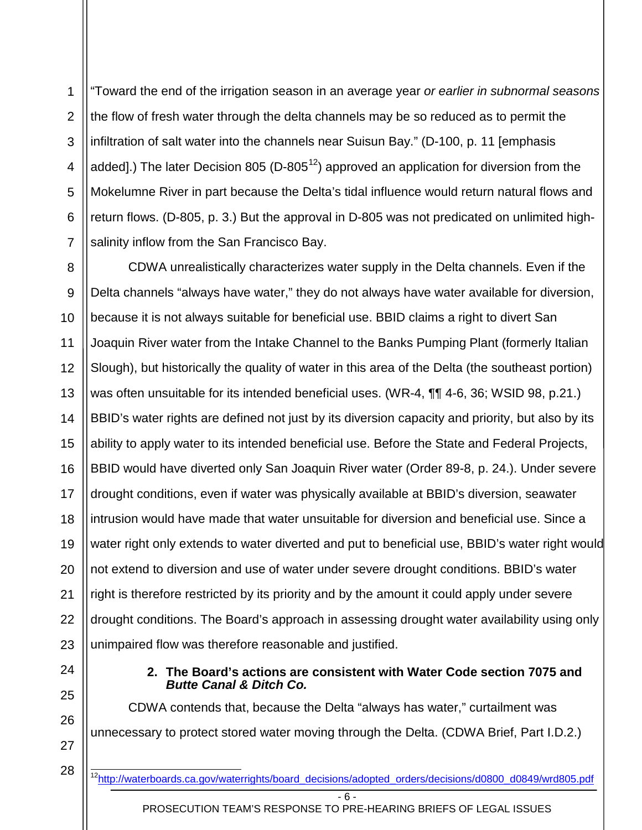1 2 3 4 5 6 7 "Toward the end of the irrigation season in an average year *or earlier in subnormal seasons* the flow of fresh water through the delta channels may be so reduced as to permit the infiltration of salt water into the channels near Suisun Bay." (D-100, p. 11 [emphasis added].) The later Decision 805 (D-805<sup>[12](#page-9-1)</sup>) approved an application for diversion from the Mokelumne River in part because the Delta's tidal influence would return natural flows and return flows. (D-805, p. 3.) But the approval in D-805 was not predicated on unlimited highsalinity inflow from the San Francisco Bay.

8 9 10 11 12 13 14 15 16 17 18 19 20 21 22 23 CDWA unrealistically characterizes water supply in the Delta channels. Even if the Delta channels "always have water," they do not always have water available for diversion, because it is not always suitable for beneficial use. BBID claims a right to divert San Joaquin River water from the Intake Channel to the Banks Pumping Plant (formerly Italian Slough), but historically the quality of water in this area of the Delta (the southeast portion) was often unsuitable for its intended beneficial uses. (WR-4, ¶¶ 4-6, 36; WSID 98, p.21.) BBID's water rights are defined not just by its diversion capacity and priority, but also by its ability to apply water to its intended beneficial use. Before the State and Federal Projects, BBID would have diverted only San Joaquin River water (Order 89-8, p. 24.). Under severe drought conditions, even if water was physically available at BBID's diversion, seawater intrusion would have made that water unsuitable for diversion and beneficial use. Since a water right only extends to water diverted and put to beneficial use, BBID's water right would not extend to diversion and use of water under severe drought conditions. BBID's water right is therefore restricted by its priority and by the amount it could apply under severe drought conditions. The Board's approach in assessing drought water availability using only unimpaired flow was therefore reasonable and justified.

<span id="page-9-0"></span>24 25

26

27

**2. The Board's actions are consistent with Water Code section 7075 and**  *Butte Canal & Ditch Co.*

CDWA contends that, because the Delta "always has water," curtailment was unnecessary to protect stored water moving through the Delta. (CDWA Brief, Part I.D.2.)

<span id="page-9-1"></span>28

<sup>-</sup> 6 - <sup>12</sup>http://waterboards.ca.gov/waterrights/board\_decisions/adopted\_orders/decisions/d0800\_d0849/wrd805.pdf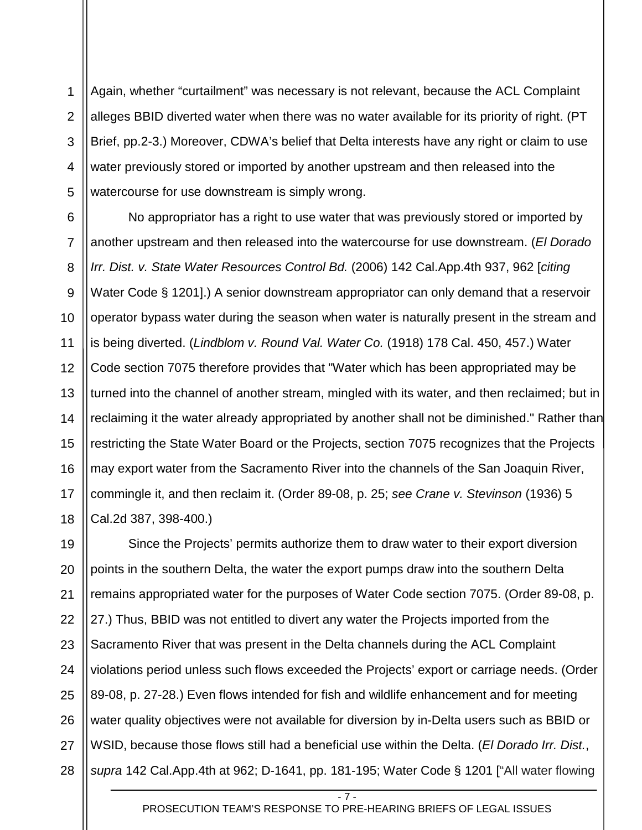1 2 3 4 5 Again, whether "curtailment" was necessary is not relevant, because the ACL Complaint alleges BBID diverted water when there was no water available for its priority of right. (PT Brief, pp.2-3.) Moreover, CDWA's belief that Delta interests have any right or claim to use water previously stored or imported by another upstream and then released into the watercourse for use downstream is simply wrong.

6 7 8 9 10 11 12 13 14 15 16 17 18 No appropriator has a right to use water that was previously stored or imported by another upstream and then released into the watercourse for use downstream. (*El Dorado Irr. Dist. v. State Water Resources Control Bd.* (2006) 142 Cal.App.4th 937, 962 [*citing*  Water Code § 1201].) A senior downstream appropriator can only demand that a reservoir operator bypass water during the season when water is naturally present in the stream and is being diverted. (*Lindblom v. Round Val. Water Co.* (1918) 178 Cal. 450, 457.) Water Code section 7075 therefore provides that "Water which has been appropriated may be turned into the channel of another stream, mingled with its water, and then reclaimed; but in reclaiming it the water already appropriated by another shall not be diminished." Rather than restricting the State Water Board or the Projects, section 7075 recognizes that the Projects may export water from the Sacramento River into the channels of the San Joaquin River, commingle it, and then reclaim it. (Order 89-08, p. 25; *see Crane v. Stevinson* (1936) 5 Cal.2d 387, 398-400.)

19 20 21 22 23 24 25 26 27 28 Since the Projects' permits authorize them to draw water to their export diversion points in the southern Delta, the water the export pumps draw into the southern Delta remains appropriated water for the purposes of Water Code section 7075. (Order 89-08, p. 27.) Thus, BBID was not entitled to divert any water the Projects imported from the Sacramento River that was present in the Delta channels during the ACL Complaint violations period unless such flows exceeded the Projects' export or carriage needs. (Order 89-08, p. 27-28.) Even flows intended for fish and wildlife enhancement and for meeting water quality objectives were not available for diversion by in-Delta users such as BBID or WSID, because those flows still had a beneficial use within the Delta. (*El Dorado Irr. Dist.*, *supra* 142 Cal.App.4th at 962; D-1641, pp. 181-195; Water Code § 1201 ["All water flowing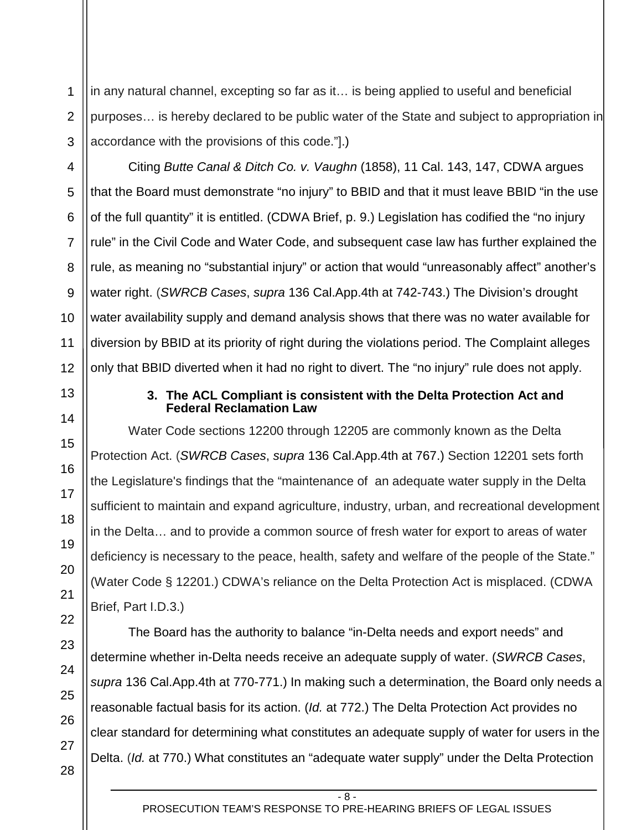1 2 in any natural channel, excepting so far as it… is being applied to useful and beneficial purposes… is hereby declared to be public water of the State and subject to appropriation in accordance with the provisions of this code."].)

Citing *Butte Canal & Ditch Co. v. Vaughn* (1858), 11 Cal. 143, 147, CDWA argues that the Board must demonstrate "no injury" to BBID and that it must leave BBID "in the use of the full quantity" it is entitled. (CDWA Brief, p. 9.) Legislation has codified the "no injury rule" in the Civil Code and Water Code, and subsequent case law has further explained the rule, as meaning no "substantial injury" or action that would "unreasonably affect" another's water right. (*SWRCB Cases*, *supra* 136 Cal.App.4th at 742-743.) The Division's drought water availability supply and demand analysis shows that there was no water available for diversion by BBID at its priority of right during the violations period. The Complaint alleges only that BBID diverted when it had no right to divert. The "no injury" rule does not apply.

### **3. The ACL Compliant is consistent with the Delta Protection Act and Federal Reclamation Law**

<span id="page-11-0"></span>Water Code sections 12200 through 12205 are commonly known as the Delta Protection Act. (*SWRCB Cases*, *supra* 136 Cal.App.4th at 767.) Section 12201 sets forth the Legislature's findings that the "maintenance of an adequate water supply in the Delta sufficient to maintain and expand agriculture, industry, urban, and recreational development in the Delta… and to provide a common source of fresh water for export to areas of water deficiency is necessary to the peace, health, safety and welfare of the people of the State." (Water Code § 12201.) CDWA's reliance on the Delta Protection Act is misplaced. (CDWA Brief, Part I.D.3.)

The Board has the authority to balance "in-Delta needs and export needs" and determine whether in-Delta needs receive an adequate supply of water. (*SWRCB Cases*, *supra* 136 Cal.App.4th at 770-771.) In making such a determination, the Board only needs a reasonable factual basis for its action. (*Id.* at 772.) The Delta Protection Act provides no clear standard for determining what constitutes an adequate supply of water for users in the Delta. (*Id.* at 770.) What constitutes an "adequate water supply" under the Delta Protection

28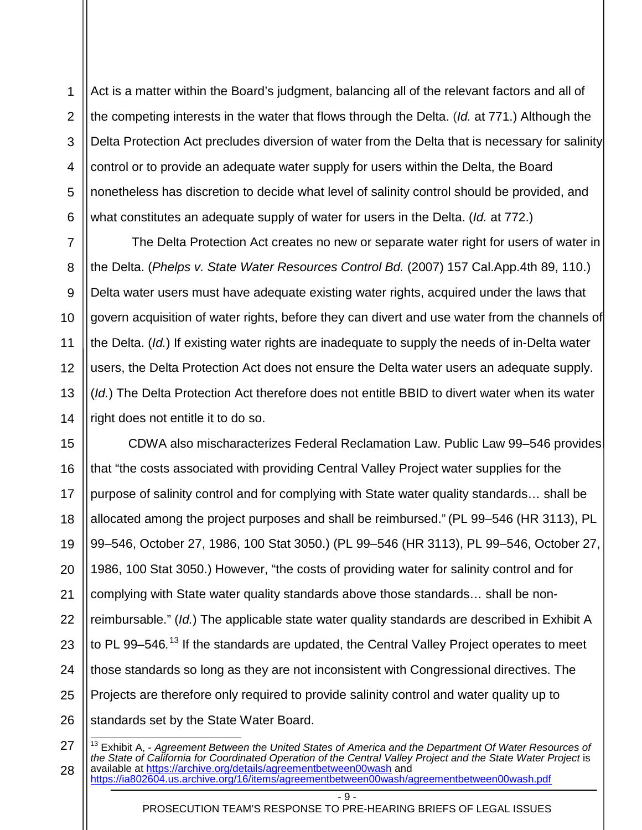1 2 3 4 5 6 Act is a matter within the Board's judgment, balancing all of the relevant factors and all of the competing interests in the water that flows through the Delta. (*Id.* at 771.) Although the Delta Protection Act precludes diversion of water from the Delta that is necessary for salinity control or to provide an adequate water supply for users within the Delta, the Board nonetheless has discretion to decide what level of salinity control should be provided, and what constitutes an adequate supply of water for users in the Delta. (*Id.* at 772.)

The Delta Protection Act creates no new or separate water right for users of water in the Delta. (*Phelps v. State Water Resources Control Bd.* (2007) 157 Cal.App.4th 89, 110.) Delta water users must have adequate existing water rights, acquired under the laws that govern acquisition of water rights, before they can divert and use water from the channels of the Delta. (*Id.*) If existing water rights are inadequate to supply the needs of in-Delta water users, the Delta Protection Act does not ensure the Delta water users an adequate supply. (*Id.*) The Delta Protection Act therefore does not entitle BBID to divert water when its water right does not entitle it to do so.

15 16 17 18 19 20 21 22 23 24 25 26 CDWA also mischaracterizes Federal Reclamation Law. Public Law 99–546 provides that "the costs associated with providing Central Valley Project water supplies for the purpose of salinity control and for complying with State water quality standards… shall be allocated among the project purposes and shall be reimbursed." (PL 99–546 (HR 3113), PL 99–546, October 27, 1986, 100 Stat 3050.) (PL 99–546 (HR 3113), PL 99–546, October 27, 1986, 100 Stat 3050.) However, "the costs of providing water for salinity control and for complying with State water quality standards above those standards… shall be nonreimbursable." (*Id.*) The applicable state water quality standards are described in Exhibit A to PL 99–546.<sup>[13](#page-12-0)</sup> If the standards are updated, the Central Valley Project operates to meet those standards so long as they are not inconsistent with Congressional directives. The Projects are therefore only required to provide salinity control and water quality up to standards set by the State Water Board.

<span id="page-12-0"></span>27 28 <sup>13</sup> Exhibit A, - *Agreement Between the United States of America and the Department Of Water Resources of the State of California for Coordinated Operation of the Central Valley Project and the State Water Project* is available at<https://archive.org/details/agreementbetween00wash> and

7

8

9

10

11

12

13

14

 $-$  9  $-$ 

<https://ia802604.us.archive.org/16/items/agreementbetween00wash/agreementbetween00wash.pdf>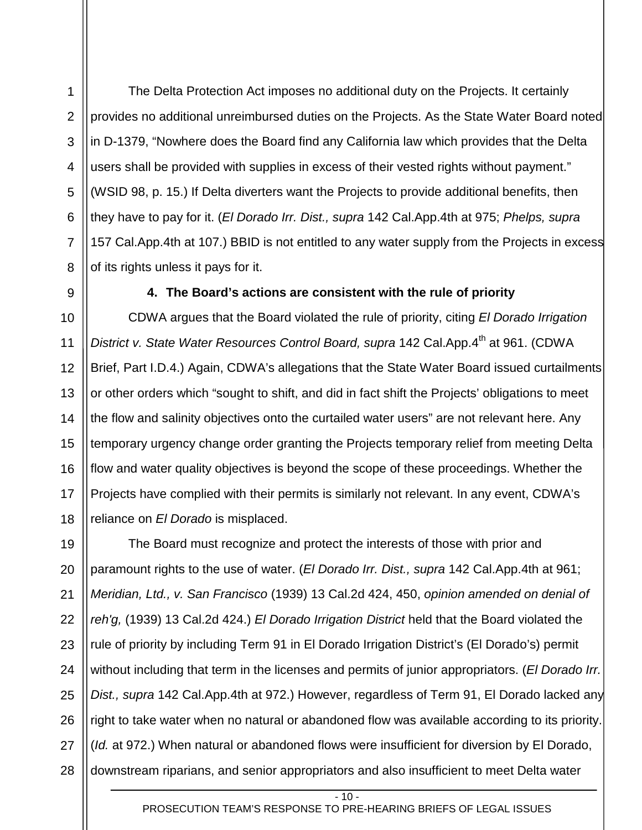The Delta Protection Act imposes no additional duty on the Projects. It certainly provides no additional unreimbursed duties on the Projects. As the State Water Board noted in D-1379, "Nowhere does the Board find any California law which provides that the Delta users shall be provided with supplies in excess of their vested rights without payment." (WSID 98, p. 15.) If Delta diverters want the Projects to provide additional benefits, then they have to pay for it. (*El Dorado Irr. Dist., supra* 142 Cal.App.4th at 975; *Phelps, supra*  157 Cal.App.4th at 107.) BBID is not entitled to any water supply from the Projects in excess of its rights unless it pays for it.

1

2

3

4

5

6

7

8

<span id="page-13-0"></span>9

### **4. The Board's actions are consistent with the rule of priority**

10 11 12 13 14 15 16 17 18 CDWA argues that the Board violated the rule of priority, citing *El Dorado Irrigation*  District v. State Water Resources Control Board, supra 142 Cal.App.4<sup>th</sup> at 961. (CDWA Brief, Part I.D.4.) Again, CDWA's allegations that the State Water Board issued curtailments or other orders which "sought to shift, and did in fact shift the Projects' obligations to meet the flow and salinity objectives onto the curtailed water users" are not relevant here. Any temporary urgency change order granting the Projects temporary relief from meeting Delta flow and water quality objectives is beyond the scope of these proceedings. Whether the Projects have complied with their permits is similarly not relevant. In any event, CDWA's reliance on *El Dorado* is misplaced.

19 20 21 22 23 24 25 26 27 28 The Board must recognize and protect the interests of those with prior and paramount rights to the use of water. (*El Dorado Irr. Dist., supra* 142 Cal.App.4th at 961; *Meridian, Ltd., v. San Francisco* (1939) 13 Cal.2d 424, 450, *opinion amended on denial of reh'g,* (1939) 13 Cal.2d 424.) *El Dorado Irrigation District* held that the Board violated the rule of priority by including Term 91 in El Dorado Irrigation District's (El Dorado's) permit without including that term in the licenses and permits of junior appropriators. (*El Dorado Irr. Dist., supra* 142 Cal.App.4th at 972.) However, regardless of Term 91, El Dorado lacked any right to take water when no natural or abandoned flow was available according to its priority. (*Id.* at 972.) When natural or abandoned flows were insufficient for diversion by El Dorado, downstream riparians, and senior appropriators and also insufficient to meet Delta water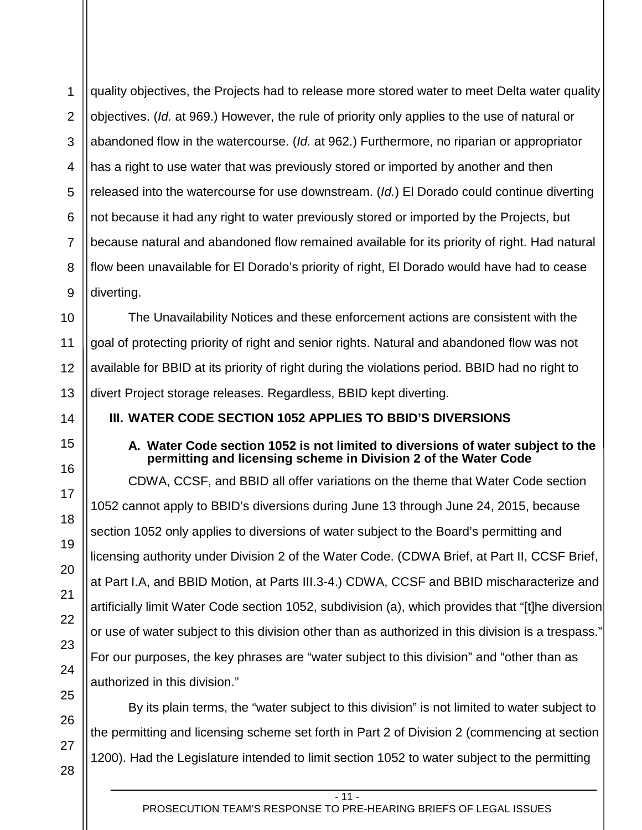1 2 3 4 5 6 7 8 9 quality objectives, the Projects had to release more stored water to meet Delta water quality objectives. (*Id.* at 969.) However, the rule of priority only applies to the use of natural or abandoned flow in the watercourse. (*Id.* at 962.) Furthermore, no riparian or appropriator has a right to use water that was previously stored or imported by another and then released into the watercourse for use downstream. (*Id.*) El Dorado could continue diverting not because it had any right to water previously stored or imported by the Projects, but because natural and abandoned flow remained available for its priority of right. Had natural flow been unavailable for El Dorado's priority of right, El Dorado would have had to cease diverting.

10 11 12 13 The Unavailability Notices and these enforcement actions are consistent with the goal of protecting priority of right and senior rights. Natural and abandoned flow was not available for BBID at its priority of right during the violations period. BBID had no right to divert Project storage releases. Regardless, BBID kept diverting.

<span id="page-14-1"></span><span id="page-14-0"></span>**III. WATER CODE SECTION 1052 APPLIES TO BBID'S DIVERSIONS**

### **A. Water Code section 1052 is not limited to diversions of water subject to the permitting and licensing scheme in Division 2 of the Water Code**

CDWA, CCSF, and BBID all offer variations on the theme that Water Code section 1052 cannot apply to BBID's diversions during June 13 through June 24, 2015, because section 1052 only applies to diversions of water subject to the Board's permitting and licensing authority under Division 2 of the Water Code. (CDWA Brief, at Part II, CCSF Brief, at Part I.A, and BBID Motion, at Parts III.3-4.) CDWA, CCSF and BBID mischaracterize and artificially limit Water Code section 1052, subdivision (a), which provides that "[t]he diversion or use of water subject to this division other than as authorized in this division is a trespass." For our purposes, the key phrases are "water subject to this division" and "other than as authorized in this division."

By its plain terms, the "water subject to this division" is not limited to water subject to the permitting and licensing scheme set forth in Part 2 of Division 2 (commencing at section 1200). Had the Legislature intended to limit section 1052 to water subject to the permitting

 $-11 -$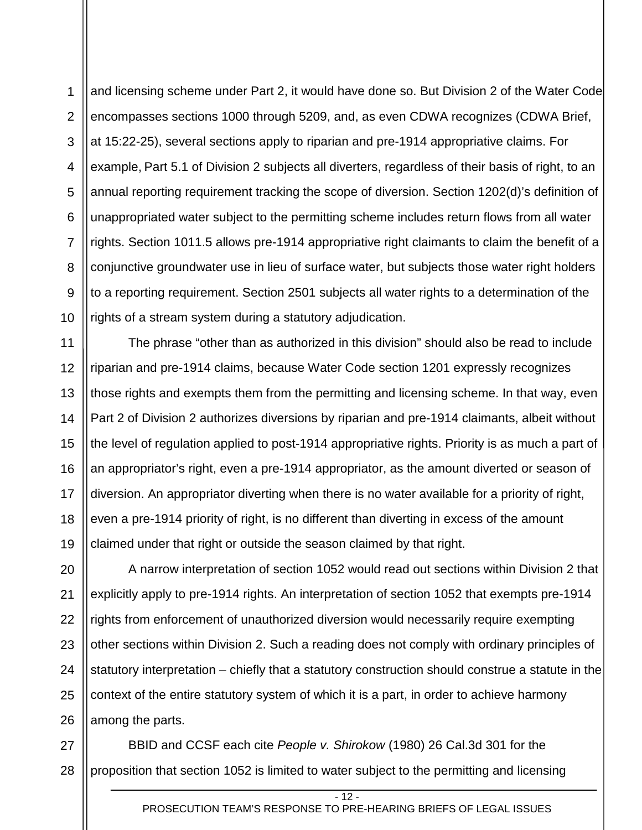1 2 3 4 5 6 7 8 9 10 and licensing scheme under Part 2, it would have done so. But Division 2 of the Water Code encompasses sections 1000 through 5209, and, as even CDWA recognizes (CDWA Brief, at 15:22-25), several sections apply to riparian and pre-1914 appropriative claims. For example, Part 5.1 of Division 2 subjects all diverters, regardless of their basis of right, to an annual reporting requirement tracking the scope of diversion. Section 1202(d)'s definition of unappropriated water subject to the permitting scheme includes return flows from all water rights. Section 1011.5 allows pre-1914 appropriative right claimants to claim the benefit of a conjunctive groundwater use in lieu of surface water, but subjects those water right holders to a reporting requirement. Section 2501 subjects all water rights to a determination of the rights of a stream system during a statutory adjudication.

11 12 13 14 15 16 17 18 19 The phrase "other than as authorized in this division" should also be read to include riparian and pre-1914 claims, because Water Code section 1201 expressly recognizes those rights and exempts them from the permitting and licensing scheme. In that way, even Part 2 of Division 2 authorizes diversions by riparian and pre-1914 claimants, albeit without the level of regulation applied to post-1914 appropriative rights. Priority is as much a part of an appropriator's right, even a pre-1914 appropriator, as the amount diverted or season of diversion. An appropriator diverting when there is no water available for a priority of right, even a pre-1914 priority of right, is no different than diverting in excess of the amount claimed under that right or outside the season claimed by that right.

20 21 22 23 24 25 26 A narrow interpretation of section 1052 would read out sections within Division 2 that explicitly apply to pre-1914 rights. An interpretation of section 1052 that exempts pre-1914 rights from enforcement of unauthorized diversion would necessarily require exempting other sections within Division 2. Such a reading does not comply with ordinary principles of statutory interpretation – chiefly that a statutory construction should construe a statute in the context of the entire statutory system of which it is a part, in order to achieve harmony among the parts.

27 28 BBID and CCSF each cite *People v. Shirokow* (1980) 26 Cal.3d 301 for the proposition that section 1052 is limited to water subject to the permitting and licensing

 $-12 -$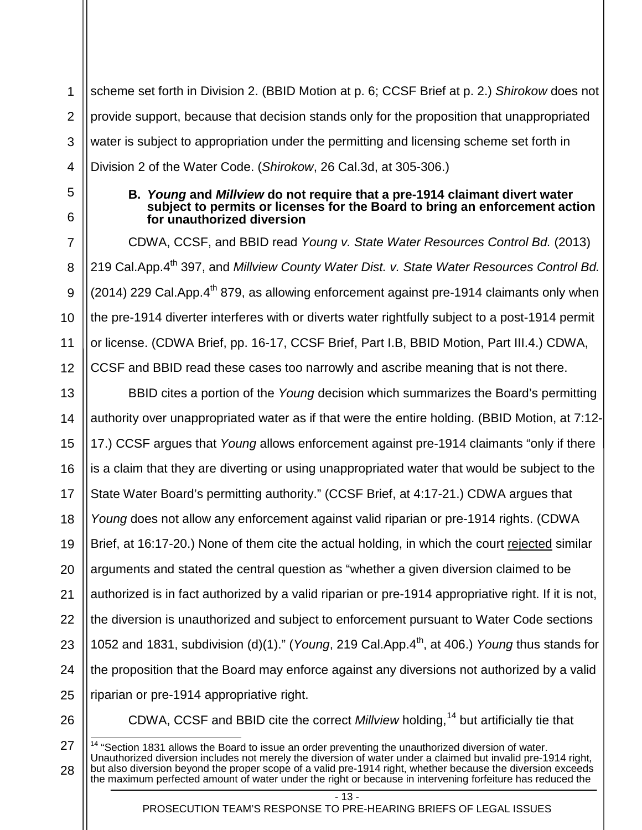1 2 3 4 scheme set forth in Division 2. (BBID Motion at p. 6; CCSF Brief at p. 2.) *Shirokow* does not provide support, because that decision stands only for the proposition that unappropriated water is subject to appropriation under the permitting and licensing scheme set forth in Division 2 of the Water Code. (*Shirokow*, 26 Cal.3d, at 305-306.)

6

7

8

9

10

11

12

<span id="page-16-0"></span>5

### **B.** *Young* **and** *Millview* **do not require that a pre-1914 claimant divert water subject to permits or licenses for the Board to bring an enforcement action for unauthorized diversion**

CDWA, CCSF, and BBID read *Young v. State Water Resources Control Bd.* (2013) 219 Cal.App.4th 397, and *Millview County Water Dist. v. State Water Resources Control Bd.*  $(2014)$  229 Cal.App. $4<sup>th</sup>$  879, as allowing enforcement against pre-1914 claimants only when the pre-1914 diverter interferes with or diverts water rightfully subject to a post-1914 permit or license. (CDWA Brief, pp. 16-17, CCSF Brief, Part I.B, BBID Motion, Part III.4.) CDWA, CCSF and BBID read these cases too narrowly and ascribe meaning that is not there.

13 14 15 16 17 18 19 20 21 22 23 24 25 BBID cites a portion of the *Young* decision which summarizes the Board's permitting authority over unappropriated water as if that were the entire holding. (BBID Motion, at 7:12- 17.) CCSF argues that *Young* allows enforcement against pre-1914 claimants "only if there is a claim that they are diverting or using unappropriated water that would be subject to the State Water Board's permitting authority." (CCSF Brief, at 4:17-21.) CDWA argues that *Young* does not allow any enforcement against valid riparian or pre-1914 rights. (CDWA Brief, at 16:17-20.) None of them cite the actual holding, in which the court rejected similar arguments and stated the central question as "whether a given diversion claimed to be authorized is in fact authorized by a valid riparian or pre-1914 appropriative right. If it is not, the diversion is unauthorized and subject to enforcement pursuant to Water Code sections 1052 and 1831, subdivision (d)(1)." (*Young*, 219 Cal.App.4th, at 406.) *Young* thus stands for the proposition that the Board may enforce against any diversions not authorized by a valid riparian or pre-1914 appropriative right.

26

<span id="page-16-1"></span>27

28

CDWA, CCSF and BBID cite the correct *Millview* holding, [14](#page-16-1) but artificially tie that

 $- 13 -$ 

 $\frac{14}{14}$  "Section 1831 allows the Board to issue an order preventing the unauthorized diversion of water. Unauthorized diversion includes not merely the diversion of water under a claimed but invalid pre-1914 right, but also diversion beyond the proper scope of a valid pre-1914 right, whether because the diversion exceeds the maximum perfected amount of water under the right or because in intervening forfeiture has reduced the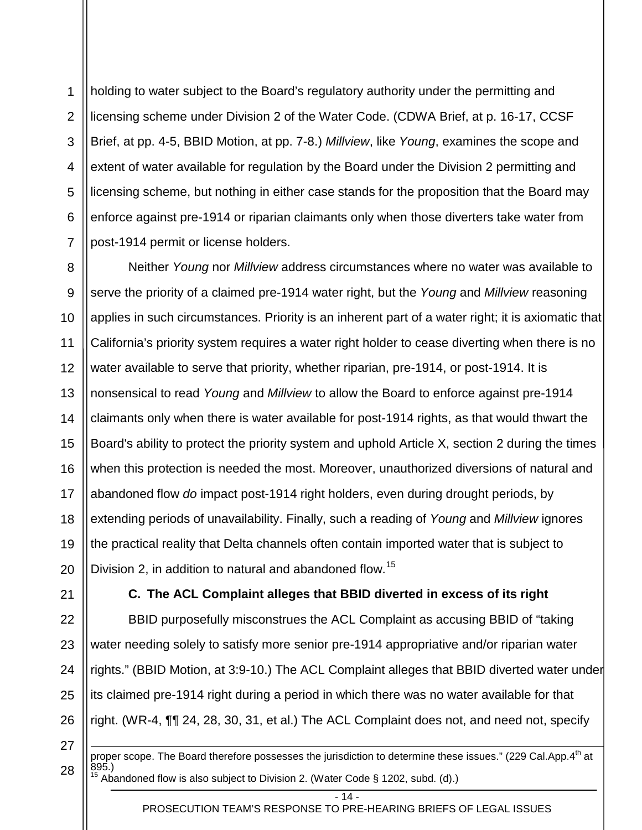1 2 3 4 5 6 7 holding to water subject to the Board's regulatory authority under the permitting and licensing scheme under Division 2 of the Water Code. (CDWA Brief, at p. 16-17, CCSF Brief, at pp. 4-5, BBID Motion, at pp. 7-8.) *Millview*, like *Young*, examines the scope and extent of water available for regulation by the Board under the Division 2 permitting and licensing scheme, but nothing in either case stands for the proposition that the Board may enforce against pre-1914 or riparian claimants only when those diverters take water from post-1914 permit or license holders.

8 9 10 11 12 13 14 15 16 17 18 19 20 Neither *Young* nor *Millview* address circumstances where no water was available to serve the priority of a claimed pre-1914 water right, but the *Young* and *Millview* reasoning applies in such circumstances. Priority is an inherent part of a water right; it is axiomatic that California's priority system requires a water right holder to cease diverting when there is no water available to serve that priority, whether riparian, pre-1914, or post-1914. It is nonsensical to read *Young* and *Millview* to allow the Board to enforce against pre-1914 claimants only when there is water available for post-1914 rights, as that would thwart the Board's ability to protect the priority system and uphold Article X, section 2 during the times when this protection is needed the most. Moreover, unauthorized diversions of natural and abandoned flow *do* impact post-1914 right holders, even during drought periods, by extending periods of unavailability. Finally, such a reading of *Young* and *Millview* ignores the practical reality that Delta channels often contain imported water that is subject to Division 2, in addition to natural and abandoned flow.<sup>[15](#page-17-1)</sup>

<span id="page-17-0"></span>21

22

23

24

25

26

# **C. The ACL Complaint alleges that BBID diverted in excess of its right**

BBID purposefully misconstrues the ACL Complaint as accusing BBID of "taking water needing solely to satisfy more senior pre-1914 appropriative and/or riparian water rights." (BBID Motion, at 3:9-10.) The ACL Complaint alleges that BBID diverted water under its claimed pre-1914 right during a period in which there was no water available for that right. (WR-4, ¶¶ 24, 28, 30, 31, et al.) The ACL Complaint does not, and need not, specify

<span id="page-17-1"></span>27 28

-

proper scope. The Board therefore possesses the jurisdiction to determine these issues." (229 Cal.App.4<sup>th</sup> at 895.) <sup>15</sup> Abandoned flow is also subject to Division 2. (Water Code § 1202, subd. (d).)

 $-14 -$ 

PROSECUTION TEAM'S RESPONSE TO PRE-HEARING BRIEFS OF LEGAL ISSUES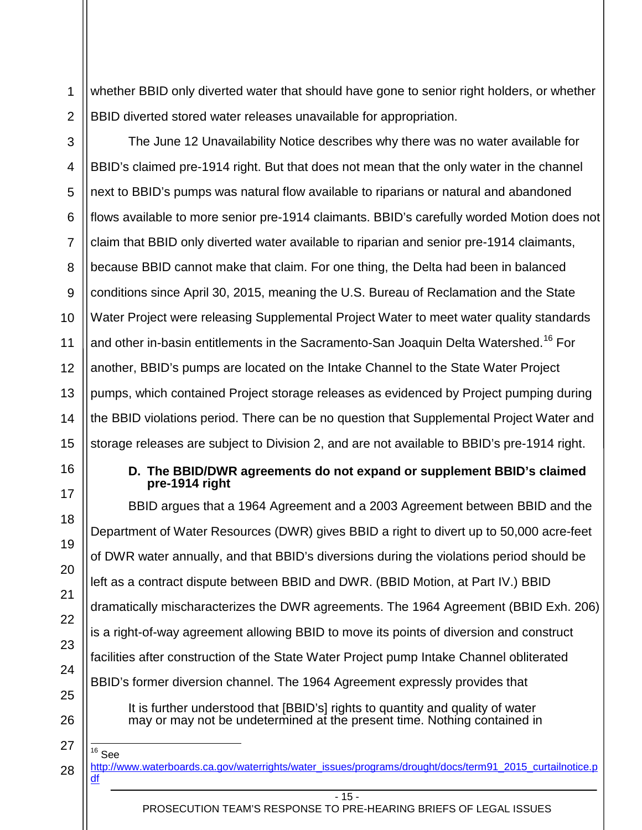1 2 whether BBID only diverted water that should have gone to senior right holders, or whether BBID diverted stored water releases unavailable for appropriation.

3 4 5 6 7 8 9 10 11 12 13 14 15 The June 12 Unavailability Notice describes why there was no water available for BBID's claimed pre-1914 right. But that does not mean that the only water in the channel next to BBID's pumps was natural flow available to riparians or natural and abandoned flows available to more senior pre-1914 claimants. BBID's carefully worded Motion does not claim that BBID only diverted water available to riparian and senior pre-1914 claimants, because BBID cannot make that claim. For one thing, the Delta had been in balanced conditions since April 30, 2015, meaning the U.S. Bureau of Reclamation and the State Water Project were releasing Supplemental Project Water to meet water quality standards and other in-basin entitlements in the Sacramento-San Joaquin Delta Watershed.<sup>[16](#page-18-1)</sup> For another, BBID's pumps are located on the Intake Channel to the State Water Project pumps, which contained Project storage releases as evidenced by Project pumping during the BBID violations period. There can be no question that Supplemental Project Water and storage releases are subject to Division 2, and are not available to BBID's pre-1914 right.

<span id="page-18-0"></span>16

17

18

19

20

21

22

23

24

25

26

<span id="page-18-1"></span>27

28

### **D. The BBID/DWR agreements do not expand or supplement BBID's claimed pre-1914 right**

BBID argues that a 1964 Agreement and a 2003 Agreement between BBID and the Department of Water Resources (DWR) gives BBID a right to divert up to 50,000 acre-feet of DWR water annually, and that BBID's diversions during the violations period should be left as a contract dispute between BBID and DWR. (BBID Motion, at Part IV.) BBID dramatically mischaracterizes the DWR agreements. The 1964 Agreement (BBID Exh. 206) is a right-of-way agreement allowing BBID to move its points of diversion and construct facilities after construction of the State Water Project pump Intake Channel obliterated BBID's former diversion channel. The 1964 Agreement expressly provides that

It is further understood that [BBID's] rights to quantity and quality of water may or may not be undetermined at the present time. Nothing contained in

 $16$  See [http://www.waterboards.ca.gov/waterrights/water\\_issues/programs/drought/docs/term91\\_2015\\_curtailnotice.p](http://www.waterboards.ca.gov/waterrights/water_issues/programs/drought/docs/term91_2015_curtailnotice.pdf) [df](http://www.waterboards.ca.gov/waterrights/water_issues/programs/drought/docs/term91_2015_curtailnotice.pdf)